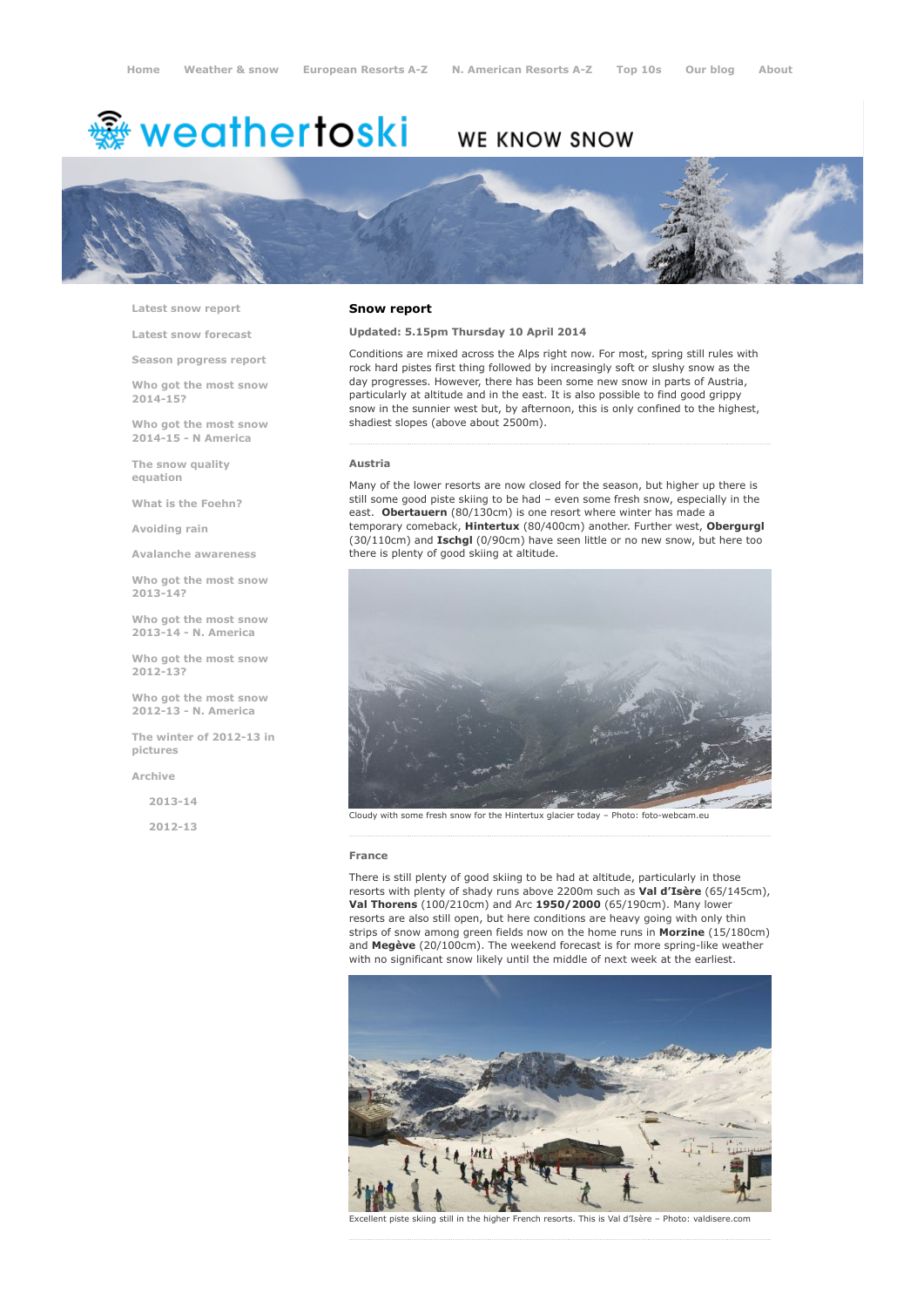# <del>鑾</del> weathertoski

# WE KNOW SNOW



Latest snow [report](http://www.weathertoski.co.uk/weather-snow/latest-snow-report/)

Latest snow [forecast](http://www.weathertoski.co.uk/weather-snow/latest-snow-forecast/)

Season [progress](http://www.weathertoski.co.uk/weather-snow/season-progress-report/) report

Who got the most snow 2014-15?

Who got the most snow 2014-15 - N America

The snow quality [equation](http://www.weathertoski.co.uk/weather-snow/the-snow-quality-equation/)

What is the [Foehn?](http://www.weathertoski.co.uk/weather-snow/what-is-the-foehn/)

[Avoiding](http://www.weathertoski.co.uk/weather-snow/avoiding-rain/) rain

Avalanche [awareness](http://www.weathertoski.co.uk/weather-snow/avalanche-awareness/)

Who got the most snow 2013-14?

Who got the most snow 2013-14 - N. America

Who got the most snow 2012-13?

Who got the most snow 2012-13 - N. America

The winter of 2012-13 in pictures

[Archive](http://www.weathertoski.co.uk/weather-snow/archive/)

2013-14

2012-13

#### Snow report

## Updated: 5.15pm Thursday 10 April 2014

Conditions are mixed across the Alps right now. For most, spring still rules with rock hard pistes first thing followed by increasingly soft or slushy snow as the day progresses. However, there has been some new snow in parts of Austria, particularly at altitude and in the east. It is also possible to find good grippy snow in the sunnier west but, by afternoon, this is only confined to the highest, shadiest slopes (above about 2500m).

#### Austria

Many of the lower resorts are now closed for the season, but higher up there is still some good piste skiing to be had – even some fresh snow, especially in the east. Obertauern (80/130cm) is one resort where winter has made a temporary comeback, Hintertux (80/400cm) another. Further west, Obergurgl (30/110cm) and Ischgl (0/90cm) have seen little or no new snow, but here too there is plenty of good skiing at altitude.



Cloudy with some fresh snow for the Hintertux glacier today - Photo: foto-webcam.eu

#### France

There is still plenty of good skiing to be had at altitude, particularly in those resorts with plenty of shady runs above 2200m such as Val d'Isère (65/145cm), Val Thorens (100/210cm) and Arc 1950/2000 (65/190cm). Many lower resorts are also still open, but here conditions are heavy going with only thin strips of snow among green fields now on the home runs in Morzine (15/180cm) and  $M$ egève (20/100cm). The weekend forecast is for more spring-like weather with no significant snow likely until the middle of next week at the earliest.



Excellent piste skiing still in the higher French resorts. This is Val d'Isère – Photo: valdisere.com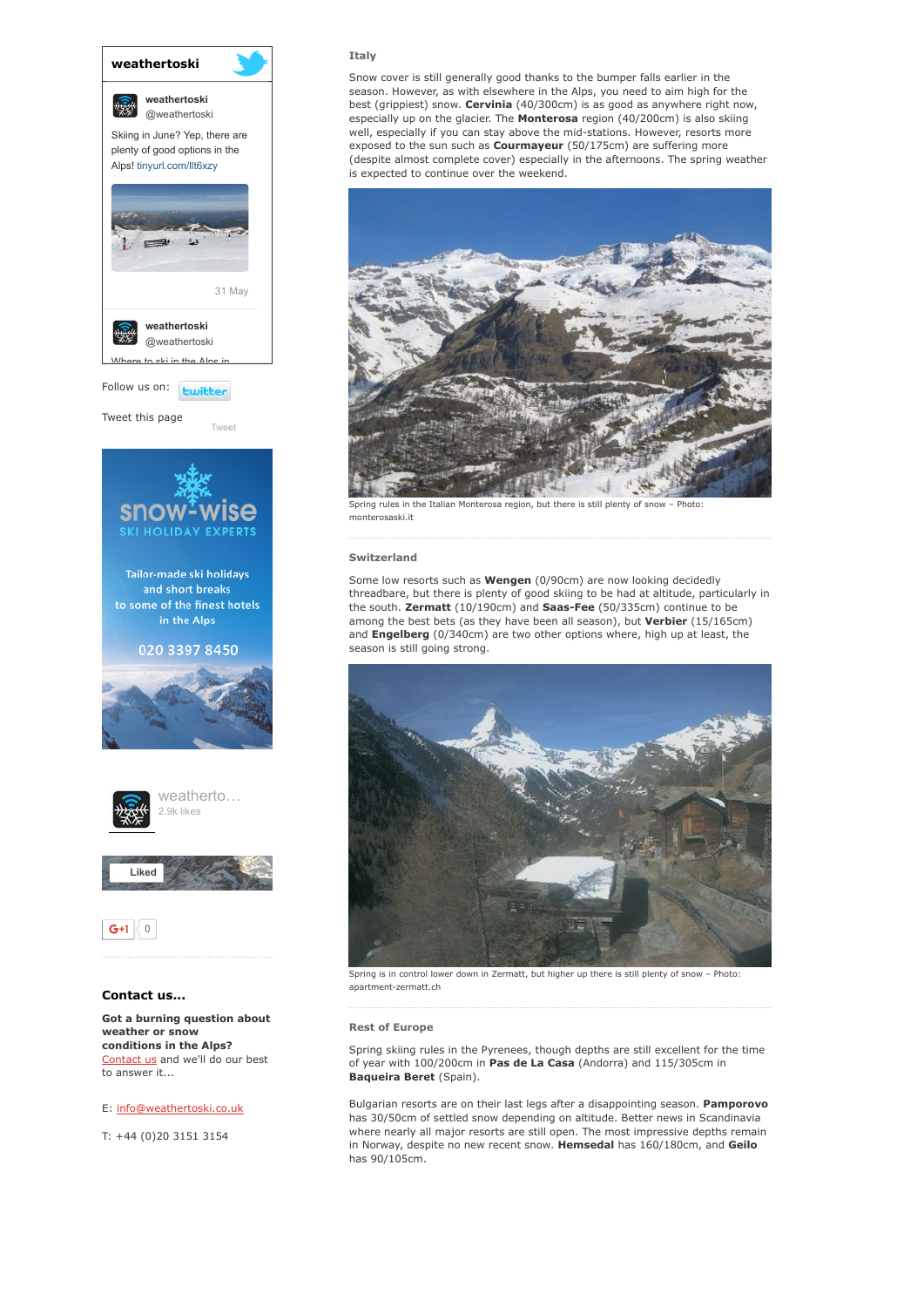

# Contact us...

Got a burning question about weather or snow conditions in the Alps? [Contact](http://www.weathertoski.co.uk/about-1/contact-us/) us and we'll do our best to answer it...

## E: [info@weathertoski.co.uk](mailto:fraser@weathertoski.co.uk)

T: +44 (0)20 3151 3154

# Italy

Snow cover is still generally good thanks to the bumper falls earlier in the season. However, as with elsewhere in the Alps, you need to aim high for the best (grippiest) snow. Cervinia (40/300cm) is as good as anywhere right now, especially up on the glacier. The **Monterosa** region (40/200cm) is also skiing well, especially if you can stay above the mid-stations. However, resorts more exposed to the sun such as **Courmayeur** (50/175cm) are suffering more (despite almost complete cover) especially in the afternoons. The spring weather is expected to continue over the weekend.



rules in the Italian Monterosa region, but there is still plenty of snow monterosaski.it

#### Switzerland

Some low resorts such as Wengen (0/90cm) are now looking decidedly threadbare, but there is plenty of good skiing to be had at altitude, particularly in the south. Zermatt (10/190cm) and Saas-Fee (50/335cm) continue to be among the best bets (as they have been all season), but Verbier (15/165cm) and Engelberg (0/340cm) are two other options where, high up at least, the season is still going strong.



Spring is in control lower down in Zermatt, but higher up there is still plenty of snow – Photo: apartment-zermatt.ch

#### Rest of Europe

Spring skiing rules in the Pyrenees, though depths are still excellent for the time of year with 100/200cm in Pas de La Casa (Andorra) and 115/305cm in Baqueira Beret (Spain).

Bulgarian resorts are on their last legs after a disappointing season. Pamporovo has 30/50cm of settled snow depending on altitude. Better news in Scandinavia where nearly all major resorts are still open. The most impressive depths remain in Norway, despite no new recent snow. Hemsedal has 160/180cm, and Geilo has 90/105cm.